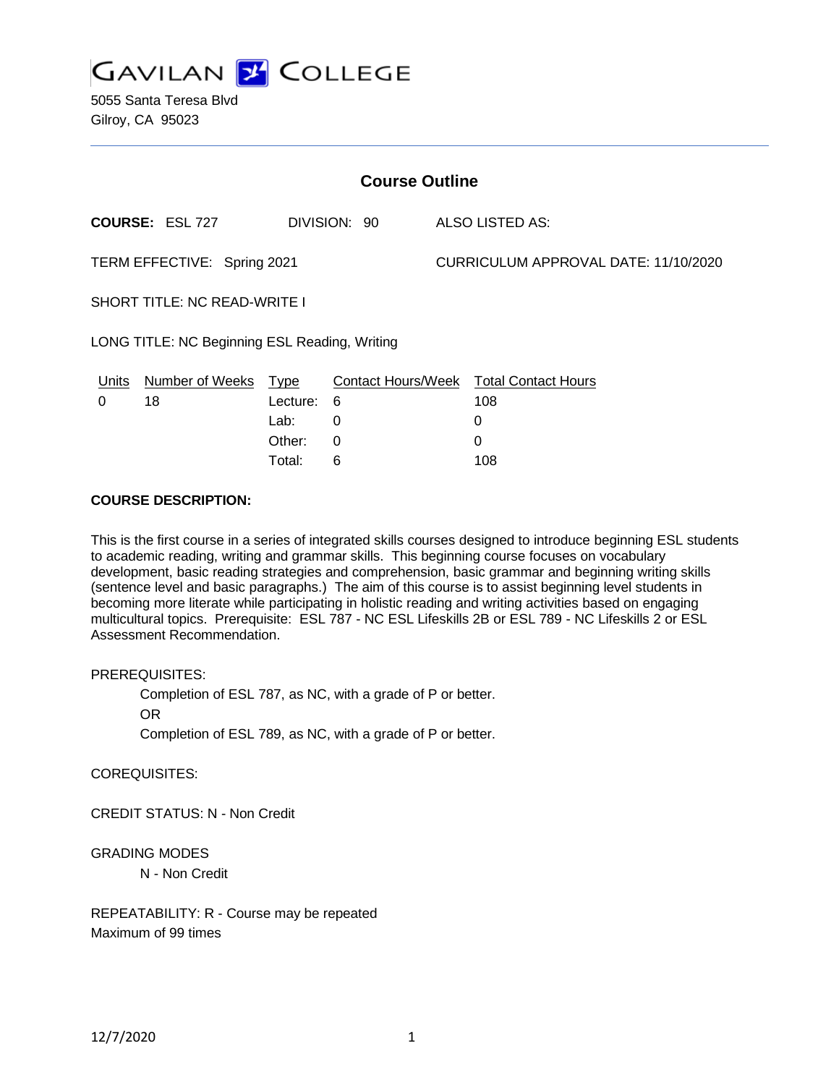

5055 Santa Teresa Blvd Gilroy, CA 95023

| <b>Course Outline</b>                         |                        |          |              |                                      |                                        |
|-----------------------------------------------|------------------------|----------|--------------|--------------------------------------|----------------------------------------|
|                                               | <b>COURSE: ESL 727</b> |          | DIVISION: 90 |                                      | ALSO LISTED AS:                        |
| TERM EFFECTIVE: Spring 2021                   |                        |          |              | CURRICULUM APPROVAL DATE: 11/10/2020 |                                        |
| <b>SHORT TITLE: NC READ-WRITE I</b>           |                        |          |              |                                      |                                        |
| LONG TITLE: NC Beginning ESL Reading, Writing |                        |          |              |                                      |                                        |
| Units                                         | Number of Weeks Type   |          |              |                                      | Contact Hours/Week Total Contact Hours |
| 0                                             | 18                     | Lecture: | - 6          |                                      | 108                                    |
|                                               |                        | Lab:     | 0            |                                      | 0                                      |
|                                               |                        | Other:   | 0            |                                      | 0                                      |
|                                               |                        | Total:   | 6            |                                      | 108                                    |

#### **COURSE DESCRIPTION:**

This is the first course in a series of integrated skills courses designed to introduce beginning ESL students to academic reading, writing and grammar skills. This beginning course focuses on vocabulary development, basic reading strategies and comprehension, basic grammar and beginning writing skills (sentence level and basic paragraphs.) The aim of this course is to assist beginning level students in becoming more literate while participating in holistic reading and writing activities based on engaging multicultural topics. Prerequisite: ESL 787 - NC ESL Lifeskills 2B or ESL 789 - NC Lifeskills 2 or ESL Assessment Recommendation.

#### PREREQUISITES:

Completion of ESL 787, as NC, with a grade of P or better.

OR

Completion of ESL 789, as NC, with a grade of P or better.

COREQUISITES:

CREDIT STATUS: N - Non Credit

## GRADING MODES

N - Non Credit

REPEATABILITY: R - Course may be repeated Maximum of 99 times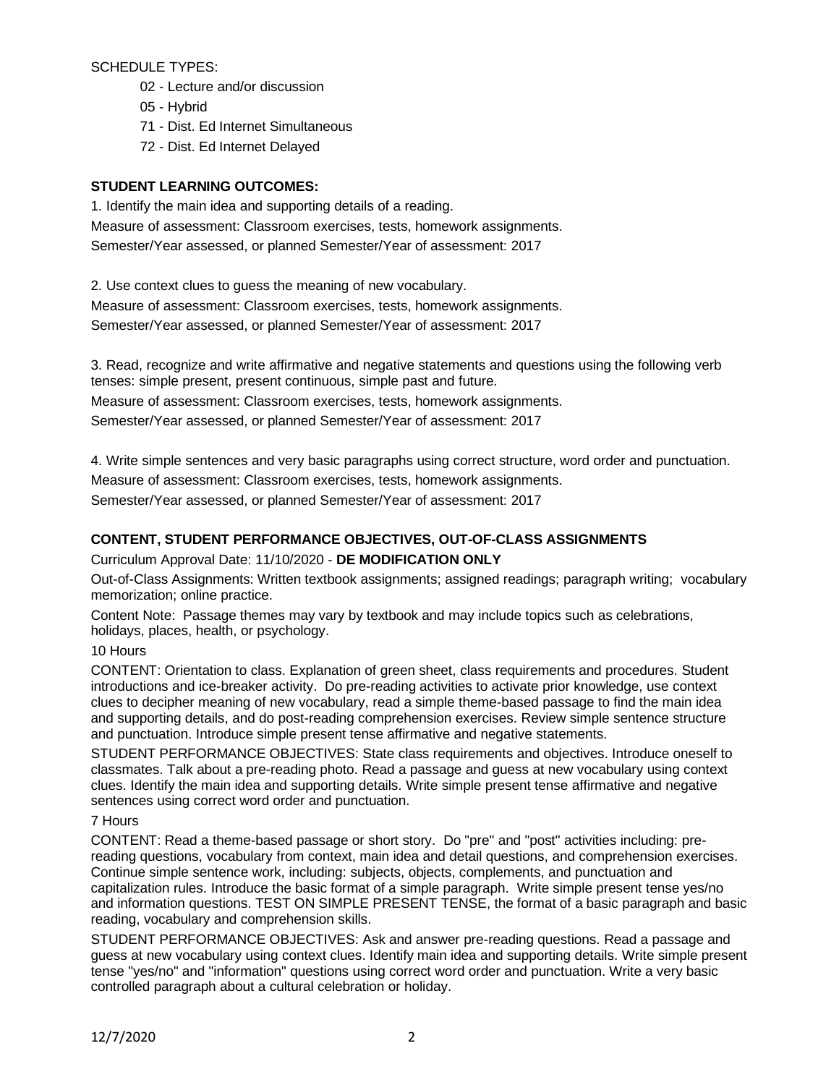SCHEDULE TYPES:

- 02 Lecture and/or discussion
- 05 Hybrid
- 71 Dist. Ed Internet Simultaneous
- 72 Dist. Ed Internet Delayed

## **STUDENT LEARNING OUTCOMES:**

1. Identify the main idea and supporting details of a reading. Measure of assessment: Classroom exercises, tests, homework assignments. Semester/Year assessed, or planned Semester/Year of assessment: 2017

2. Use context clues to guess the meaning of new vocabulary. Measure of assessment: Classroom exercises, tests, homework assignments. Semester/Year assessed, or planned Semester/Year of assessment: 2017

3. Read, recognize and write affirmative and negative statements and questions using the following verb tenses: simple present, present continuous, simple past and future.

Measure of assessment: Classroom exercises, tests, homework assignments.

Semester/Year assessed, or planned Semester/Year of assessment: 2017

4. Write simple sentences and very basic paragraphs using correct structure, word order and punctuation. Measure of assessment: Classroom exercises, tests, homework assignments.

Semester/Year assessed, or planned Semester/Year of assessment: 2017

# **CONTENT, STUDENT PERFORMANCE OBJECTIVES, OUT-OF-CLASS ASSIGNMENTS**

## Curriculum Approval Date: 11/10/2020 - **DE MODIFICATION ONLY**

Out-of-Class Assignments: Written textbook assignments; assigned readings; paragraph writing; vocabulary memorization; online practice.

Content Note: Passage themes may vary by textbook and may include topics such as celebrations, holidays, places, health, or psychology.

## 10 Hours

CONTENT: Orientation to class. Explanation of green sheet, class requirements and procedures. Student introductions and ice-breaker activity. Do pre-reading activities to activate prior knowledge, use context clues to decipher meaning of new vocabulary, read a simple theme-based passage to find the main idea and supporting details, and do post-reading comprehension exercises. Review simple sentence structure and punctuation. Introduce simple present tense affirmative and negative statements.

STUDENT PERFORMANCE OBJECTIVES: State class requirements and objectives. Introduce oneself to classmates. Talk about a pre-reading photo. Read a passage and guess at new vocabulary using context clues. Identify the main idea and supporting details. Write simple present tense affirmative and negative sentences using correct word order and punctuation.

## 7 Hours

CONTENT: Read a theme-based passage or short story. Do "pre" and "post" activities including: prereading questions, vocabulary from context, main idea and detail questions, and comprehension exercises. Continue simple sentence work, including: subjects, objects, complements, and punctuation and capitalization rules. Introduce the basic format of a simple paragraph. Write simple present tense yes/no and information questions. TEST ON SIMPLE PRESENT TENSE, the format of a basic paragraph and basic reading, vocabulary and comprehension skills.

STUDENT PERFORMANCE OBJECTIVES: Ask and answer pre-reading questions. Read a passage and guess at new vocabulary using context clues. Identify main idea and supporting details. Write simple present tense "yes/no" and "information" questions using correct word order and punctuation. Write a very basic controlled paragraph about a cultural celebration or holiday.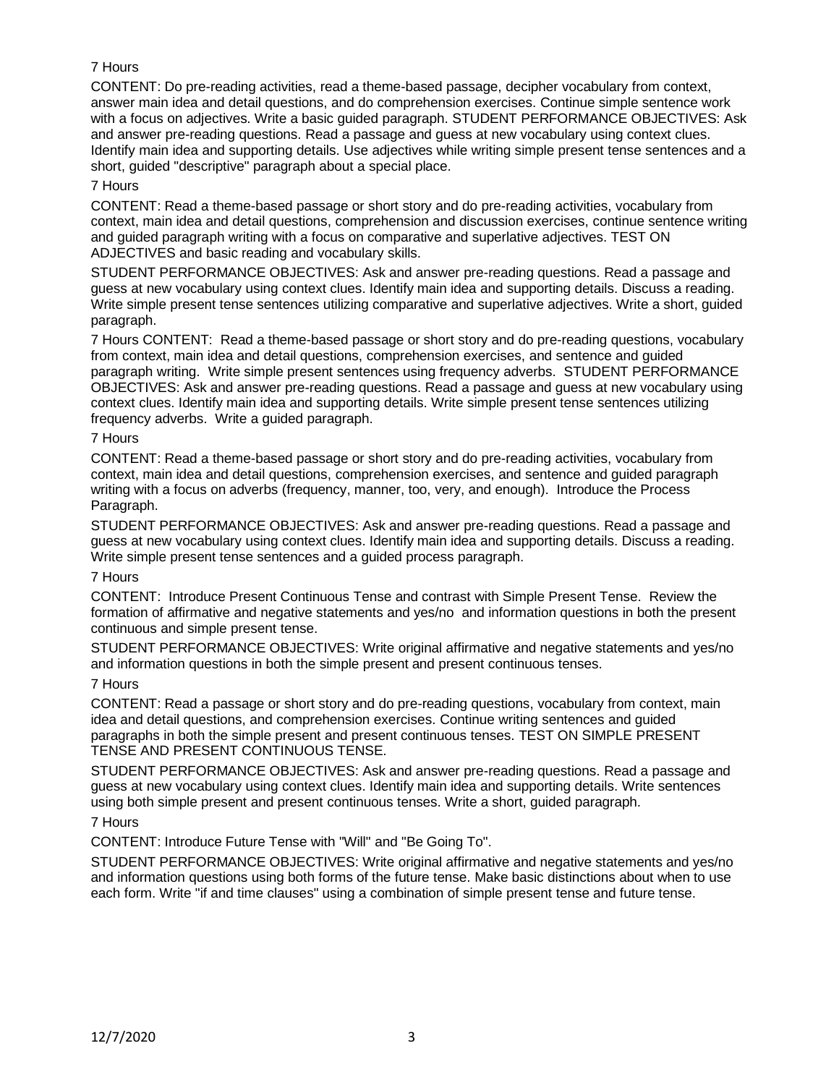# 7 Hours

CONTENT: Do pre-reading activities, read a theme-based passage, decipher vocabulary from context, answer main idea and detail questions, and do comprehension exercises. Continue simple sentence work with a focus on adjectives. Write a basic guided paragraph. STUDENT PERFORMANCE OBJECTIVES: Ask and answer pre-reading questions. Read a passage and guess at new vocabulary using context clues. Identify main idea and supporting details. Use adjectives while writing simple present tense sentences and a short, guided "descriptive" paragraph about a special place.

## 7 Hours

CONTENT: Read a theme-based passage or short story and do pre-reading activities, vocabulary from context, main idea and detail questions, comprehension and discussion exercises, continue sentence writing and guided paragraph writing with a focus on comparative and superlative adjectives. TEST ON ADJECTIVES and basic reading and vocabulary skills.

STUDENT PERFORMANCE OBJECTIVES: Ask and answer pre-reading questions. Read a passage and guess at new vocabulary using context clues. Identify main idea and supporting details. Discuss a reading. Write simple present tense sentences utilizing comparative and superlative adjectives. Write a short, guided paragraph.

7 Hours CONTENT: Read a theme-based passage or short story and do pre-reading questions, vocabulary from context, main idea and detail questions, comprehension exercises, and sentence and guided paragraph writing. Write simple present sentences using frequency adverbs. STUDENT PERFORMANCE OBJECTIVES: Ask and answer pre-reading questions. Read a passage and guess at new vocabulary using context clues. Identify main idea and supporting details. Write simple present tense sentences utilizing frequency adverbs. Write a guided paragraph.

## 7 Hours

CONTENT: Read a theme-based passage or short story and do pre-reading activities, vocabulary from context, main idea and detail questions, comprehension exercises, and sentence and guided paragraph writing with a focus on adverbs (frequency, manner, too, very, and enough). Introduce the Process Paragraph.

STUDENT PERFORMANCE OBJECTIVES: Ask and answer pre-reading questions. Read a passage and guess at new vocabulary using context clues. Identify main idea and supporting details. Discuss a reading. Write simple present tense sentences and a guided process paragraph.

## 7 Hours

CONTENT: Introduce Present Continuous Tense and contrast with Simple Present Tense. Review the formation of affirmative and negative statements and yes/no and information questions in both the present continuous and simple present tense.

STUDENT PERFORMANCE OBJECTIVES: Write original affirmative and negative statements and yes/no and information questions in both the simple present and present continuous tenses.

# 7 Hours

CONTENT: Read a passage or short story and do pre-reading questions, vocabulary from context, main idea and detail questions, and comprehension exercises. Continue writing sentences and guided paragraphs in both the simple present and present continuous tenses. TEST ON SIMPLE PRESENT TENSE AND PRESENT CONTINUOUS TENSE.

STUDENT PERFORMANCE OBJECTIVES: Ask and answer pre-reading questions. Read a passage and guess at new vocabulary using context clues. Identify main idea and supporting details. Write sentences using both simple present and present continuous tenses. Write a short, guided paragraph.

## 7 Hours

CONTENT: Introduce Future Tense with "Will" and "Be Going To".

STUDENT PERFORMANCE OBJECTIVES: Write original affirmative and negative statements and yes/no and information questions using both forms of the future tense. Make basic distinctions about when to use each form. Write "if and time clauses" using a combination of simple present tense and future tense.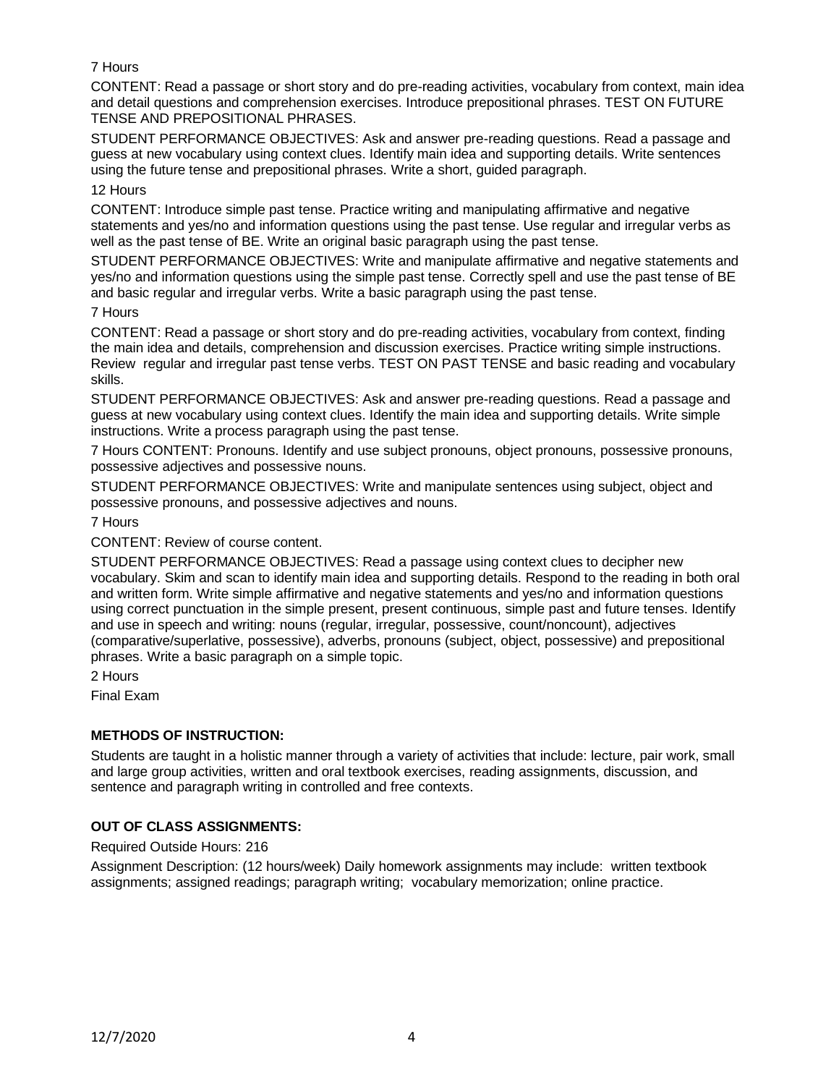## 7 Hours

CONTENT: Read a passage or short story and do pre-reading activities, vocabulary from context, main idea and detail questions and comprehension exercises. Introduce prepositional phrases. TEST ON FUTURE TENSE AND PREPOSITIONAL PHRASES.

STUDENT PERFORMANCE OBJECTIVES: Ask and answer pre-reading questions. Read a passage and guess at new vocabulary using context clues. Identify main idea and supporting details. Write sentences using the future tense and prepositional phrases. Write a short, guided paragraph.

#### 12 Hours

CONTENT: Introduce simple past tense. Practice writing and manipulating affirmative and negative statements and yes/no and information questions using the past tense. Use regular and irregular verbs as well as the past tense of BE. Write an original basic paragraph using the past tense.

STUDENT PERFORMANCE OBJECTIVES: Write and manipulate affirmative and negative statements and yes/no and information questions using the simple past tense. Correctly spell and use the past tense of BE and basic regular and irregular verbs. Write a basic paragraph using the past tense.

#### 7 Hours

CONTENT: Read a passage or short story and do pre-reading activities, vocabulary from context, finding the main idea and details, comprehension and discussion exercises. Practice writing simple instructions. Review regular and irregular past tense verbs. TEST ON PAST TENSE and basic reading and vocabulary skills.

STUDENT PERFORMANCE OBJECTIVES: Ask and answer pre-reading questions. Read a passage and guess at new vocabulary using context clues. Identify the main idea and supporting details. Write simple instructions. Write a process paragraph using the past tense.

7 Hours CONTENT: Pronouns. Identify and use subject pronouns, object pronouns, possessive pronouns, possessive adjectives and possessive nouns.

STUDENT PERFORMANCE OBJECTIVES: Write and manipulate sentences using subject, object and possessive pronouns, and possessive adjectives and nouns.

#### 7 Hours

CONTENT: Review of course content.

STUDENT PERFORMANCE OBJECTIVES: Read a passage using context clues to decipher new vocabulary. Skim and scan to identify main idea and supporting details. Respond to the reading in both oral and written form. Write simple affirmative and negative statements and yes/no and information questions using correct punctuation in the simple present, present continuous, simple past and future tenses. Identify and use in speech and writing: nouns (regular, irregular, possessive, count/noncount), adjectives (comparative/superlative, possessive), adverbs, pronouns (subject, object, possessive) and prepositional phrases. Write a basic paragraph on a simple topic.

2 Hours

Final Exam

## **METHODS OF INSTRUCTION:**

Students are taught in a holistic manner through a variety of activities that include: lecture, pair work, small and large group activities, written and oral textbook exercises, reading assignments, discussion, and sentence and paragraph writing in controlled and free contexts.

## **OUT OF CLASS ASSIGNMENTS:**

Required Outside Hours: 216

Assignment Description: (12 hours/week) Daily homework assignments may include: written textbook assignments; assigned readings; paragraph writing; vocabulary memorization; online practice.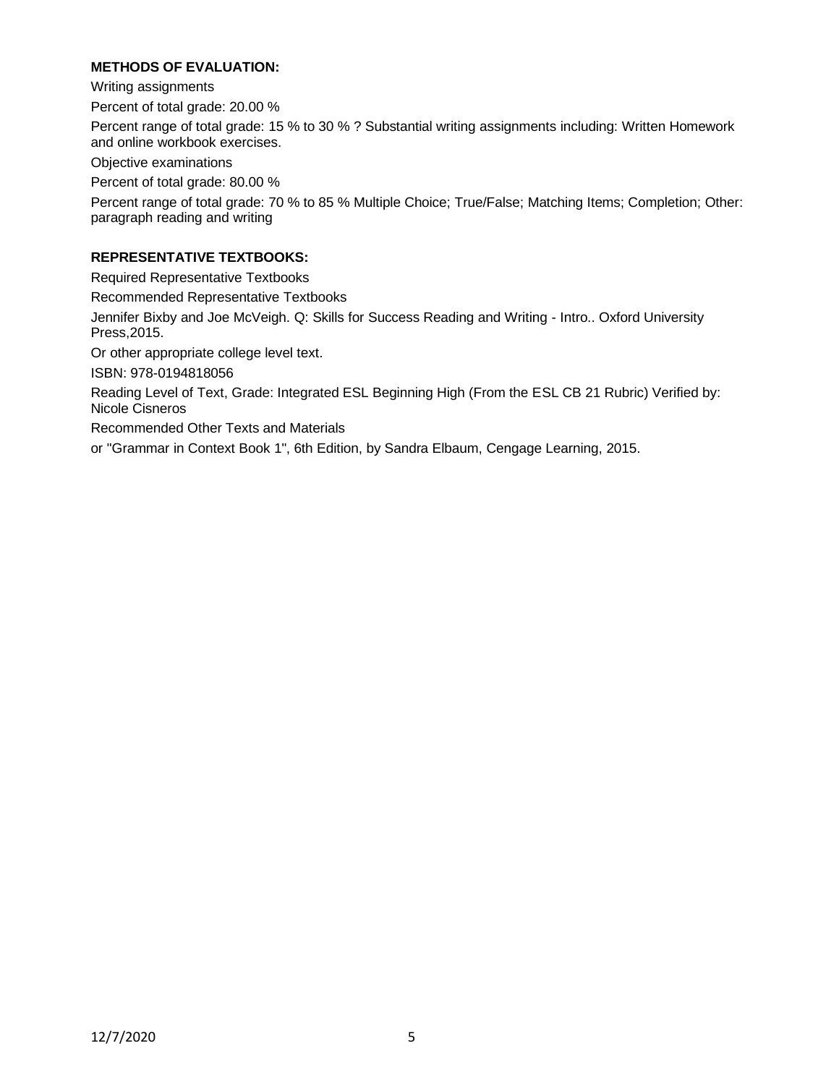## **METHODS OF EVALUATION:**

Writing assignments Percent of total grade: 20.00 % Percent range of total grade: 15 % to 30 % ? Substantial writing assignments including: Written Homework and online workbook exercises. Objective examinations

Percent of total grade: 80.00 %

Percent range of total grade: 70 % to 85 % Multiple Choice; True/False; Matching Items; Completion; Other: paragraph reading and writing

## **REPRESENTATIVE TEXTBOOKS:**

Required Representative Textbooks

Recommended Representative Textbooks

Jennifer Bixby and Joe McVeigh. Q: Skills for Success Reading and Writing - Intro.. Oxford University Press,2015.

Or other appropriate college level text.

ISBN: 978-0194818056

Reading Level of Text, Grade: Integrated ESL Beginning High (From the ESL CB 21 Rubric) Verified by: Nicole Cisneros

Recommended Other Texts and Materials

or "Grammar in Context Book 1", 6th Edition, by Sandra Elbaum, Cengage Learning, 2015.